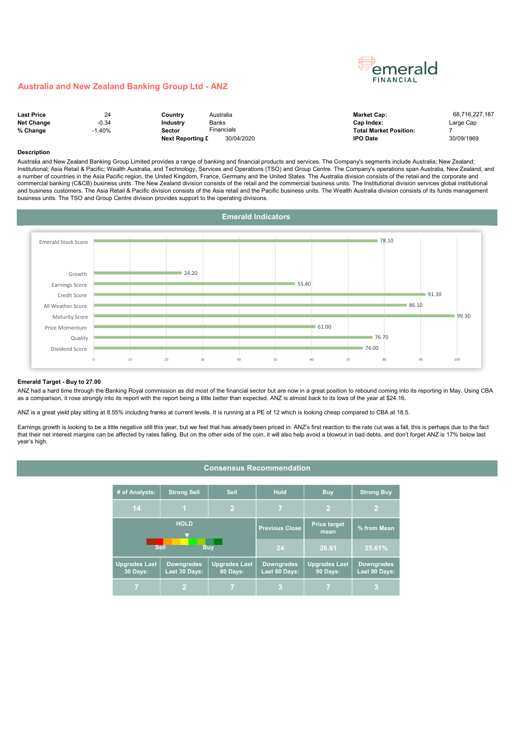

#### Australia and New Zealand Banking Group Ltd - ANZ

| <b>Last Price</b> | 24      | Countrv                 | Australia              | <b>Market Cap:</b>            | 68.716.227.187 |
|-------------------|---------|-------------------------|------------------------|-------------------------------|----------------|
| <b>Net Change</b> | $-0.34$ | Industrv                | Banks                  | Cap Index:                    | Large Cap      |
| % Change          | .40%    | Sector                  | <sup>=</sup> inancials | <b>Total Market Position:</b> |                |
|                   |         | <b>Next Reporting D</b> | 30/04/2020             | <b>IPO Date</b>               | 30/09/1969     |

#### Description

Australia and New Zealand Banking Group Limited provides a range of banking and financial products and services. The Company's segments include Australia; New Zealand; Institutional; Asia Retail & Pacific; Wealth Australia, and Technology, Services and Operations (TSO) and Group Centre. The Company's operations span Australia, New Zealand, and a number of countries in the Asia Pacific region, the United Kingdom, France, Germany and the United States. The Australia division consists of the retail and the corporate and commercial banking (C&CB) business units. The New Zealand division consists of the retail and the commercial business units. The Institutional division services global institutional and business customers. The Asia Retail & Pacific division consists of the Asia retail and the Pacific business units. The Wealth Australia division consists of its funds management business units. The TSO and Group Centre division provides support to the operating divisions.



#### Emerald Target - Buy to 27.00

ANZ had a hard time through the Banking Royal commission as did most of the financial sector but are now in a great position to rebound coming into its reporting in May. Using CBA as a comparison, it rose strongly into its report with the report being a little better than expected. ANZ is almost back to its lows of the year at \$24.16.

ANZ is a great yield play sitting at 8.55% including franks at current levels. It is running at a PE of 12 which is looking cheap compared to CBA at 18.5.

Earnings growth is looking to be a little negative still this year, but we feel that has already been priced in. ANZ's first reaction to the rate cut was a fall, this is perhaps due to the fact that their net interest margins can be affected by rates falling. But on the other side of the coin, it will also help avoid a blowout in bad debts, and don't forget ANZ is 17% below last year's high.

## Consensus Recommendation

| # of Analysts:                                                                                             | <b>Strong Sell</b><br><b>Sell</b> |                                    | <b>Hold</b>                      | <b>Buy</b>                         | <b>Strong Buy</b> |  |
|------------------------------------------------------------------------------------------------------------|-----------------------------------|------------------------------------|----------------------------------|------------------------------------|-------------------|--|
| 14                                                                                                         | $\overline{2}$<br>1.              |                                    |                                  | $\overline{2}$                     |                   |  |
|                                                                                                            | <b>HOLD</b>                       |                                    | <b>Previous Close</b>            | <b>Price target</b><br>mean        | % from Mean       |  |
|                                                                                                            | <b>Sell</b>                       | <b>Buv</b>                         | 24                               | 26.61                              | 25.61%            |  |
| <b>Upgrades Last</b><br><b>Downgrades</b><br><b>Upgrades Last</b><br>30 Days:<br>Last 30 Days:<br>60 Days: |                                   | <b>Downgrades</b><br>Last 60 Days: | <b>Upgrades Last</b><br>90 Days: | <b>Downgrades</b><br>Last 90 Days: |                   |  |
|                                                                                                            |                                   |                                    |                                  |                                    |                   |  |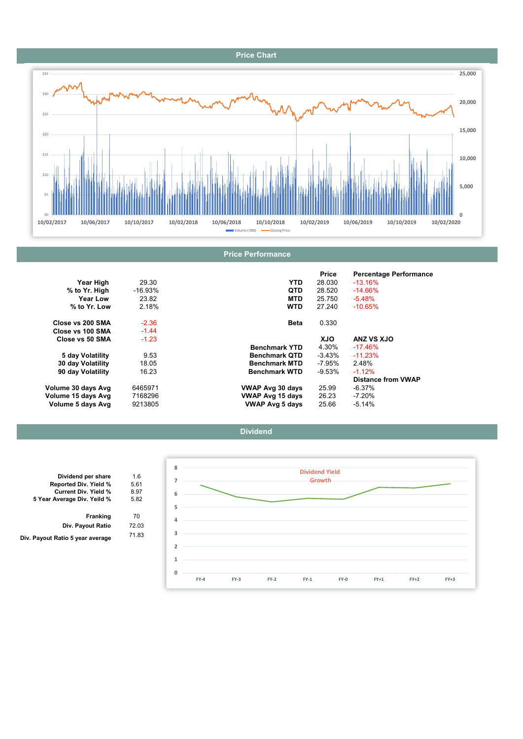# Price Chart



|                    |            |                         | <b>Price</b> | <b>Percentage Performance</b> |
|--------------------|------------|-------------------------|--------------|-------------------------------|
| Year High          | 29.30      | <b>YTD</b>              | 28.030       | $-13.16\%$                    |
| % to Yr. High      | $-16.93\%$ | <b>QTD</b>              | 28.520       | $-14.66%$                     |
| Year Low           | 23.82      | <b>MTD</b>              | 25.750       | $-5.48%$                      |
| % to Yr. Low       | 2.18%      | <b>WTD</b>              | 27.240       | $-10.65%$                     |
| Close vs 200 SMA   | $-2.36$    | Beta                    | 0.330        |                               |
| Close vs 100 SMA   | $-1.44$    |                         |              |                               |
| Close vs 50 SMA    | $-1.23$    |                         | <b>XJO</b>   | ANZ VS XJO                    |
|                    |            | <b>Benchmark YTD</b>    | 4.30%        | $-17.46%$                     |
| 5 day Volatility   | 9.53       | <b>Benchmark QTD</b>    | -3.43%       | $-11.23%$                     |
| 30 day Volatility  | 18.05      | <b>Benchmark MTD</b>    | -7.95%       | 2.48%                         |
| 90 day Volatility  | 16.23      | <b>Benchmark WTD</b>    | $-9.53\%$    | $-1.12%$                      |
|                    |            |                         |              | <b>Distance from VWAP</b>     |
| Volume 30 days Avg | 6465971    | VWAP Avg 30 days        | 25.99        | -6.37%                        |
| Volume 15 days Avg | 7168296    | <b>VWAP Avg 15 days</b> | 26.23        | $-7.20%$                      |
| Volume 5 days Avg  | 9213805    | <b>VWAP Avg 5 days</b>  | 25.66        | $-5.14%$                      |





| 1.6<br>5.61 |
|-------------|
|             |
|             |
| 8.97        |
| 5.82        |
| 70          |
| 72.03       |
| 71.83       |
|             |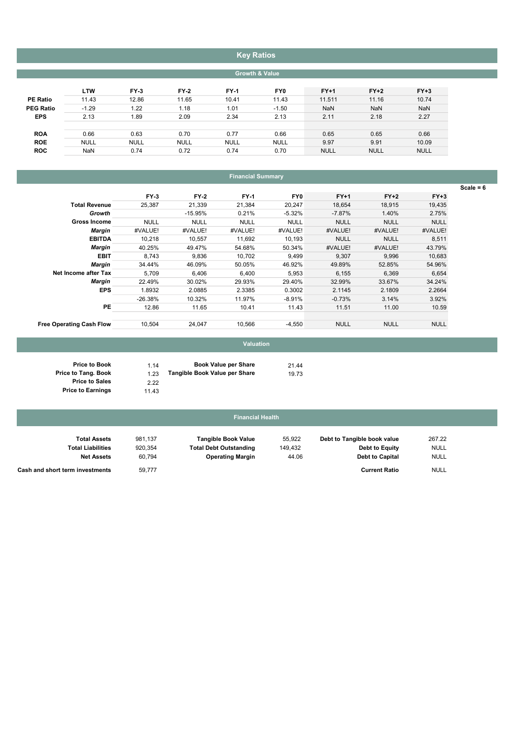# Key Ratios

### Growth & Value

|                  | <b>LTW</b>  | $FY-3$      | $FY-2$      | <b>FY-1</b> | FY0         | $FY+1$      | $FY+2$      | $FY+3$      |
|------------------|-------------|-------------|-------------|-------------|-------------|-------------|-------------|-------------|
| <b>PE Ratio</b>  | 11.43       | 12.86       | 11.65       | 10.41       | 11.43       | 11.511      | 11.16       | 10.74       |
| <b>PEG Ratio</b> | $-1.29$     | 1.22        | 1.18        | 1.01        | $-1.50$     | <b>NaN</b>  | <b>NaN</b>  | <b>NaN</b>  |
| <b>EPS</b>       | 2.13        | 1.89        | 2.09        | 2.34        | 2.13        | 2.11        | 2.18        | 2.27        |
|                  |             |             |             |             |             |             |             |             |
| <b>ROA</b>       | 0.66        | 0.63        | 0.70        | 0.77        | 0.66        | 0.65        | 0.65        | 0.66        |
| <b>ROE</b>       | <b>NULL</b> | <b>NULL</b> | <b>NULL</b> | <b>NULL</b> | <b>NULL</b> | 9.97        | 9.91        | 10.09       |
| <b>ROC</b>       | <b>NaN</b>  | 0.74        | 0.72        | 0.74        | 0.70        | <b>NULL</b> | <b>NULL</b> | <b>NULL</b> |
|                  |             |             |             |             |             |             |             |             |

## Financial Summary

|                                 |             |             |             |             |             |             |             | $Scale = 6$ |
|---------------------------------|-------------|-------------|-------------|-------------|-------------|-------------|-------------|-------------|
|                                 | $FY-3$      | $FY-2$      | <b>FY-1</b> | FY0         | $FY+1$      | $FY+2$      | $FY+3$      |             |
| <b>Total Revenue</b>            | 25,387      | 21,339      | 21,384      | 20,247      | 18,654      | 18,915      | 19,435      |             |
| Growth                          |             | $-15.95%$   | 0.21%       | $-5.32%$    | $-7.87%$    | 1.40%       | 2.75%       |             |
| <b>Gross Income</b>             | <b>NULL</b> | <b>NULL</b> | <b>NULL</b> | <b>NULL</b> | <b>NULL</b> | <b>NULL</b> | <b>NULL</b> |             |
| Margin                          | #VALUE!     | #VALUE!     | #VALUE!     | #VALUE!     | #VALUE!     | #VALUE!     | #VALUE!     |             |
| <b>EBITDA</b>                   | 10,218      | 10,557      | 11,692      | 10,193      | <b>NULL</b> | <b>NULL</b> | 8,511       |             |
| <b>Margin</b>                   | 40.25%      | 49.47%      | 54.68%      | 50.34%      | #VALUE!     | #VALUE!     | 43.79%      |             |
| <b>EBIT</b>                     | 8,743       | 9,836       | 10,702      | 9,499       | 9,307       | 9,996       | 10,683      |             |
| Margin                          | 34.44%      | 46.09%      | 50.05%      | 46.92%      | 49.89%      | 52.85%      | 54.96%      |             |
| Net Income after Tax            | 5,709       | 6,406       | 6.400       | 5,953       | 6,155       | 6,369       | 6,654       |             |
| Margin                          | 22.49%      | 30.02%      | 29.93%      | 29.40%      | 32.99%      | 33.67%      | 34.24%      |             |
| <b>EPS</b>                      | 1.8932      | 2.0885      | 2.3385      | 0.3002      | 2.1145      | 2.1809      | 2.2664      |             |
|                                 | $-26.38%$   | 10.32%      | 11.97%      | $-8.91%$    | $-0.73%$    | 3.14%       | 3.92%       |             |
| PE                              | 12.86       | 11.65       | 10.41       | 11.43       | 11.51       | 11.00       | 10.59       |             |
| <b>Free Operating Cash Flow</b> | 10,504      | 24,047      | 10,566      | $-4,550$    | <b>NULL</b> | <b>NULL</b> | <b>NULL</b> |             |

# Valuation

| 1.14 | <b>Book Value per Share</b>   | 21.44 |
|------|-------------------------------|-------|
| 1.23 | Tangible Book Value per Share | 19.73 |
| 2.22 |                               |       |

11.43

#### 55,922 981,137 267.22 Debt to Tangible book value 920,354 **Total Debt Outstanding** 149,432 **Debt to Equity** NULL 60,794 **Operating Margin** 44.06 **Debt to Capital** NULL Total Liabilities Net Assets Debt to Equity Debt to Capital Tangible Book Value Total Assets Financial Health

 NULL 59,777 Current Ratio Cash and short term investments

Price to Book Price to Tang. Book Price to Sales Price to Earnings